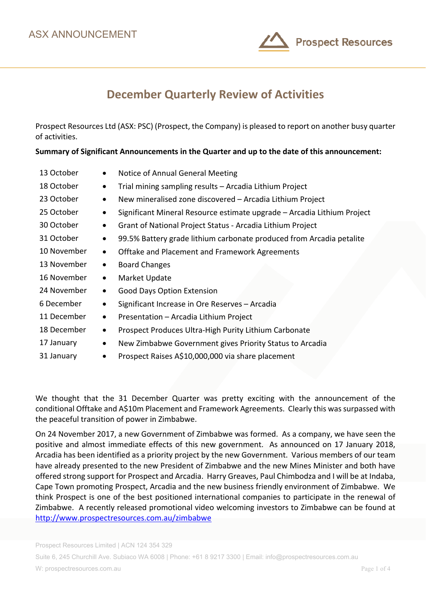

# **December Quarterly Review of Activities**

Prospect Resources Ltd (ASX: PSC) (Prospect, the Company) is pleased to report on another busy quarter of activities.

**Summary of Significant Announcements in the Quarter and up to the date of this announcement:** 

| 13 October  | Notice of Annual General Meeting                                                  |
|-------------|-----------------------------------------------------------------------------------|
| 18 October  | Trial mining sampling results - Arcadia Lithium Project<br>$\bullet$              |
| 23 October  | New mineralised zone discovered - Arcadia Lithium Project                         |
| 25 October  | Significant Mineral Resource estimate upgrade – Arcadia Lithium Project<br>٠      |
| 30 October  | Grant of National Project Status - Arcadia Lithium Project<br>$\bullet$           |
| 31 October  | 99.5% Battery grade lithium carbonate produced from Arcadia petalite<br>$\bullet$ |
| 10 November | Offtake and Placement and Framework Agreements<br>$\bullet$                       |
| 13 November | <b>Board Changes</b><br>٠                                                         |
| 16 November | Market Update<br>$\bullet$                                                        |
| 24 November | <b>Good Days Option Extension</b><br>٠                                            |
| 6 December  | Significant Increase in Ore Reserves - Arcadia<br>$\bullet$                       |
| 11 December | Presentation - Arcadia Lithium Project<br>$\bullet$                               |
| 18 December | Prospect Produces Ultra-High Purity Lithium Carbonate<br>٠                        |
| 17 January  | New Zimbabwe Government gives Priority Status to Arcadia<br>$\bullet$             |
| 31 January  | Prospect Raises A\$10,000,000 via share placement<br>$\bullet$                    |
|             |                                                                                   |

We thought that the 31 December Quarter was pretty exciting with the announcement of the conditional Offtake and A\$10m Placement and Framework Agreements. Clearly this was surpassed with the peaceful transition of power in Zimbabwe.

On 24 November 2017, a new Government of Zimbabwe was formed. As a company, we have seen the positive and almost immediate effects of this new government. As announced on 17 January 2018, Arcadia has been identified as a priority project by the new Government. Various members of our team have already presented to the new President of Zimbabwe and the new Mines Minister and both have offered strong support for Prospect and Arcadia. Harry Greaves, Paul Chimbodza and I will be at Indaba, Cape Town promoting Prospect, Arcadia and the new business friendly environment of Zimbabwe. We think Prospect is one of the best positioned international companies to participate in the renewal of Zimbabwe. A recently released promotional video welcoming investors to Zimbabwe can be found at http://www.prospectresources.com.au/zimbabwe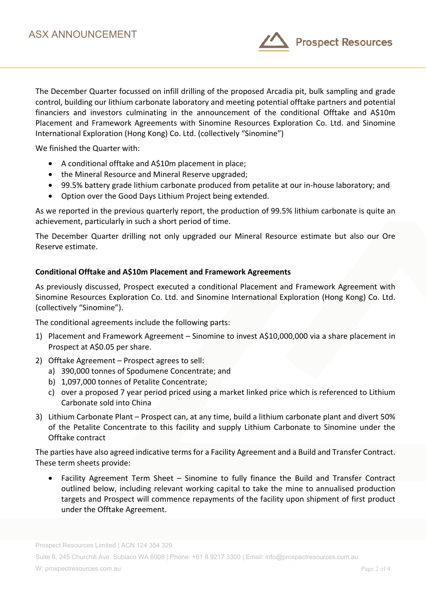

The December Quarter focussed on infill drilling of the proposed Arcadia pit, bulk sampling and grade control, building our lithium carbonate laboratory and meeting potential offtake partners and potential financiers and investors culminating in the announcement of the conditional Offtake and A\$10m Placement and Framework Agreements with Sinomine Resources Exploration Co. Ltd. and Sinomine International Exploration (Hong Kong) Co. Ltd. (collectively "Sinomine")

We finished the Quarter with:

- A conditional offtake and A\$10m placement in place;
- the Mineral Resource and Mineral Reserve upgraded;
- 99.5% battery grade lithium carbonate produced from petalite at our in-house laboratory; and
- Option over the Good Days Lithium Project being extended.

As we reported in the previous quarterly report, the production of 99.5% lithium carbonate is quite an achievement, particularly in such a short period of time.

The December Quarter drilling not only upgraded our Mineral Resource estimate but also our Ore Reserve estimate.

# **Conditional Offtake and A\$10m Placement and Framework Agreements**

As previously discussed, Prospect executed a conditional Placement and Framework Agreement with Sinomine Resources Exploration Co. Ltd. and Sinomine International Exploration (Hong Kong) Co. Ltd. (collectively "Sinomine").

The conditional agreements include the following parts:

- 1) Placement and Framework Agreement Sinomine to invest A\$10,000,000 via a share placement in Prospect at A\$0.05 per share.
- 2) Offtake Agreement Prospect agrees to sell:
	- a) 390,000 tonnes of Spodumene Concentrate; and
	- b) 1,097,000 tonnes of Petalite Concentrate;
	- c) over a proposed 7 year period priced using a market linked price which is referenced to Lithium Carbonate sold into China
- 3) Lithium Carbonate Plant Prospect can, at any time, build a lithium carbonate plant and divert 50% of the Petalite Concentrate to this facility and supply Lithium Carbonate to Sinomine under the Offtake contract

The parties have also agreed indicative terms for a Facility Agreement and a Build and Transfer Contract. These term sheets provide:

• Facility Agreement Term Sheet – Sinomine to fully finance the Build and Transfer Contract outlined below, including relevant working capital to take the mine to annualised production targets and Prospect will commence repayments of the facility upon shipment of first product under the Offtake Agreement.

Prospect Resources Limited | ACN 124 354 329

Suite 6, 245 Churchill Ave. Subiaco WA 6008 | Phone: +61 8 9217 3300 | Email: info@prospectresources.com.au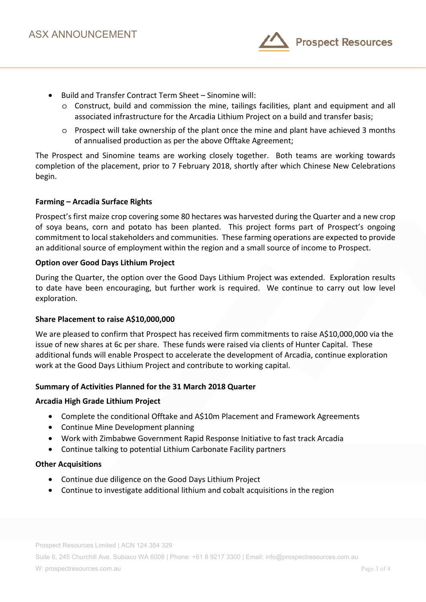

- Build and Transfer Contract Term Sheet Sinomine will:
	- o Construct, build and commission the mine, tailings facilities, plant and equipment and all associated infrastructure for the Arcadia Lithium Project on a build and transfer basis;
	- o Prospect will take ownership of the plant once the mine and plant have achieved 3 months of annualised production as per the above Offtake Agreement;

The Prospect and Sinomine teams are working closely together. Both teams are working towards completion of the placement, prior to 7 February 2018, shortly after which Chinese New Celebrations begin.

## **Farming – Arcadia Surface Rights**

Prospect's first maize crop covering some 80 hectares was harvested during the Quarter and a new crop of soya beans, corn and potato has been planted. This project forms part of Prospect's ongoing commitment to local stakeholders and communities. These farming operations are expected to provide an additional source of employment within the region and a small source of income to Prospect.

### **Option over Good Days Lithium Project**

During the Quarter, the option over the Good Days Lithium Project was extended. Exploration results to date have been encouraging, but further work is required. We continue to carry out low level exploration.

## **Share Placement to raise A\$10,000,000**

We are pleased to confirm that Prospect has received firm commitments to raise A\$10,000,000 via the issue of new shares at 6c per share. These funds were raised via clients of Hunter Capital. These additional funds will enable Prospect to accelerate the development of Arcadia, continue exploration work at the Good Days Lithium Project and contribute to working capital.

## **Summary of Activities Planned for the 31 March 2018 Quarter**

#### **Arcadia High Grade Lithium Project**

- Complete the conditional Offtake and A\$10m Placement and Framework Agreements
- Continue Mine Development planning
- Work with Zimbabwe Government Rapid Response Initiative to fast track Arcadia
- Continue talking to potential Lithium Carbonate Facility partners

#### **Other Acquisitions**

- Continue due diligence on the Good Days Lithium Project
- Continue to investigate additional lithium and cobalt acquisitions in the region

Suite 6, 245 Churchill Ave. Subiaco WA 6008 | Phone: +61 8 9217 3300 | Email: info@prospectresources.com.au